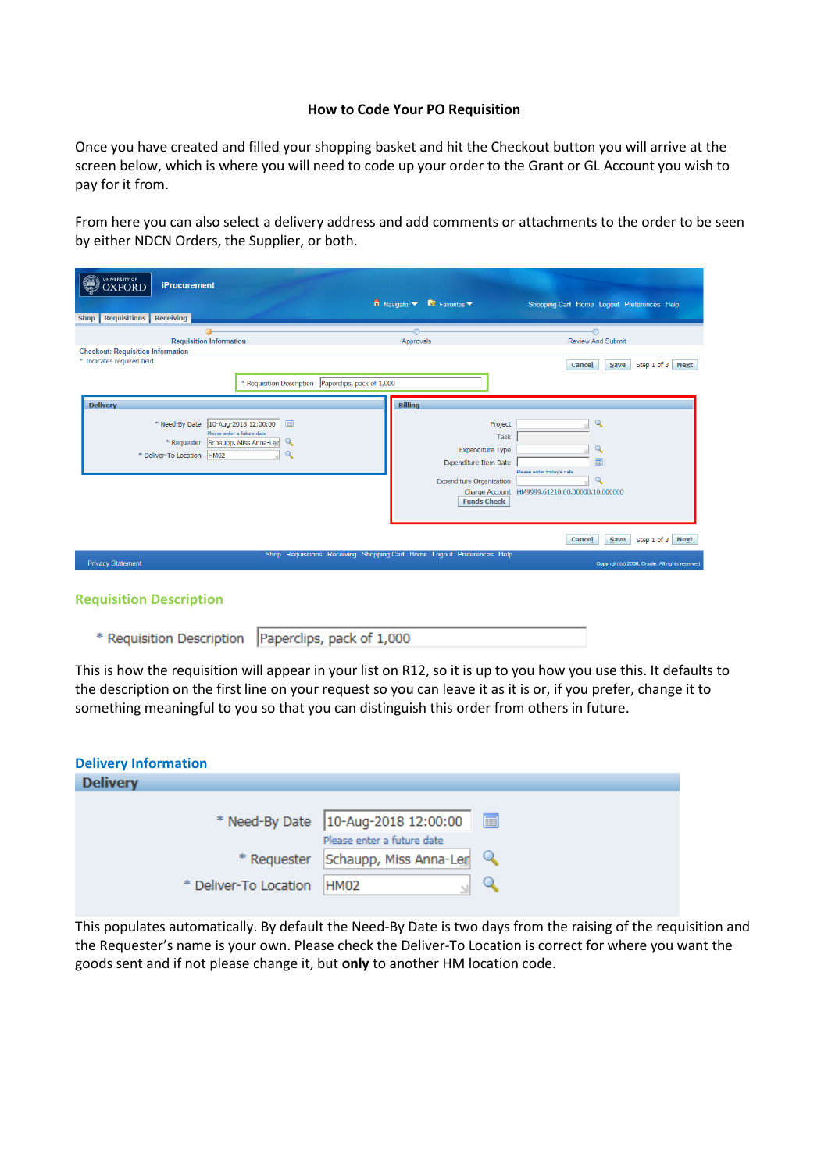## **How to Code Your PO Requisition**

Once you have created and filled your shopping basket and hit the Checkout button you will arrive at the screen below, which is where you will need to code up your order to the Grant or GL Account you wish to pay for it from.

From here you can also select a delivery address and add comments or attachments to the order to be seen by either NDCN Orders, the Supplier, or both.

| <b>UNIVERSITY OF</b><br><b>iProcurement</b><br><b>XFORD</b>                                                                                                                                                     |                                                                                                                                                              |                                                                                                                      |
|-----------------------------------------------------------------------------------------------------------------------------------------------------------------------------------------------------------------|--------------------------------------------------------------------------------------------------------------------------------------------------------------|----------------------------------------------------------------------------------------------------------------------|
| Shop Requisitions Receiving                                                                                                                                                                                     | $\overrightarrow{\mathbf{n}}$ Navigator $\overrightarrow{\mathbf{n}}$ Favorites $\overrightarrow{\mathbf{n}}$                                                | Shopping Cart Home Logout Preferences Help                                                                           |
| <b>Requisition Information</b><br><b>Checkout: Requisition Information</b>                                                                                                                                      | $\bigcirc$<br>Approvals                                                                                                                                      | €<br><b>Review And Submit</b>                                                                                        |
| * Indicates required field<br>* Requisition Description   Paperclips, pack of 1,000                                                                                                                             |                                                                                                                                                              | Step 1 of 3 Next<br>Cancel<br>Save                                                                                   |
| <b>Delivery</b><br>目<br>10-Aug-2018 12:00:00<br>* Need-By Date<br>Please enter a future date<br>$\mathbf{Q}$<br>Schaupp, Miss Anna-Len<br>* Requester<br>$\overline{Q}$<br><b>HM02</b><br>* Deliver-To Location | <b>Billing</b><br>Project<br><b>Task</b><br><b>Expenditure Type</b><br><b>Expenditure Item Date</b><br><b>Expenditure Organization</b><br><b>Funds Check</b> | $\mathbf{Q}$<br>Q<br>m<br>Please enter today's date<br>$\mathbf Q$<br>Charge Account HM9999.61210.00.00000.10.000000 |
| <b>Privacy Statement</b>                                                                                                                                                                                        | Shop Requisitions Receiving Shopping Cart Home Logout Preferences Help                                                                                       | Cancel<br><b>Save</b><br>Step 1 of 3 Next<br>Copyright (c) 2006, Oracle. All rights reserved                         |

| <b>Requisition Description</b> |
|--------------------------------|
|                                |

|  | * Requisition Description   Paperclips, pack of 1,000 |
|--|-------------------------------------------------------|
|--|-------------------------------------------------------|

This is how the requisition will appear in your list on R12, so it is up to you how you use this. It defaults to the description on the first line on your request so you can leave it as it is or, if you prefer, change it to something meaningful to you so that you can distinguish this order from others in future.

| <b>Delivery Information</b> |                       |                                       |   |
|-----------------------------|-----------------------|---------------------------------------|---|
| <b>Delivery</b>             |                       |                                       |   |
|                             |                       |                                       |   |
|                             |                       | * Need-By Date   10-Aug-2018 12:00:00 | 圖 |
|                             |                       | Please enter a future date            |   |
|                             |                       | * Requester Schaupp, Miss Anna-Len    |   |
|                             | * Deliver-To Location | HM <sub>02</sub>                      |   |

This populates automatically. By default the Need-By Date is two days from the raising of the requisition and the Requester's name is your own. Please check the Deliver-To Location is correct for where you want the goods sent and if not please change it, but **only** to another HM location code.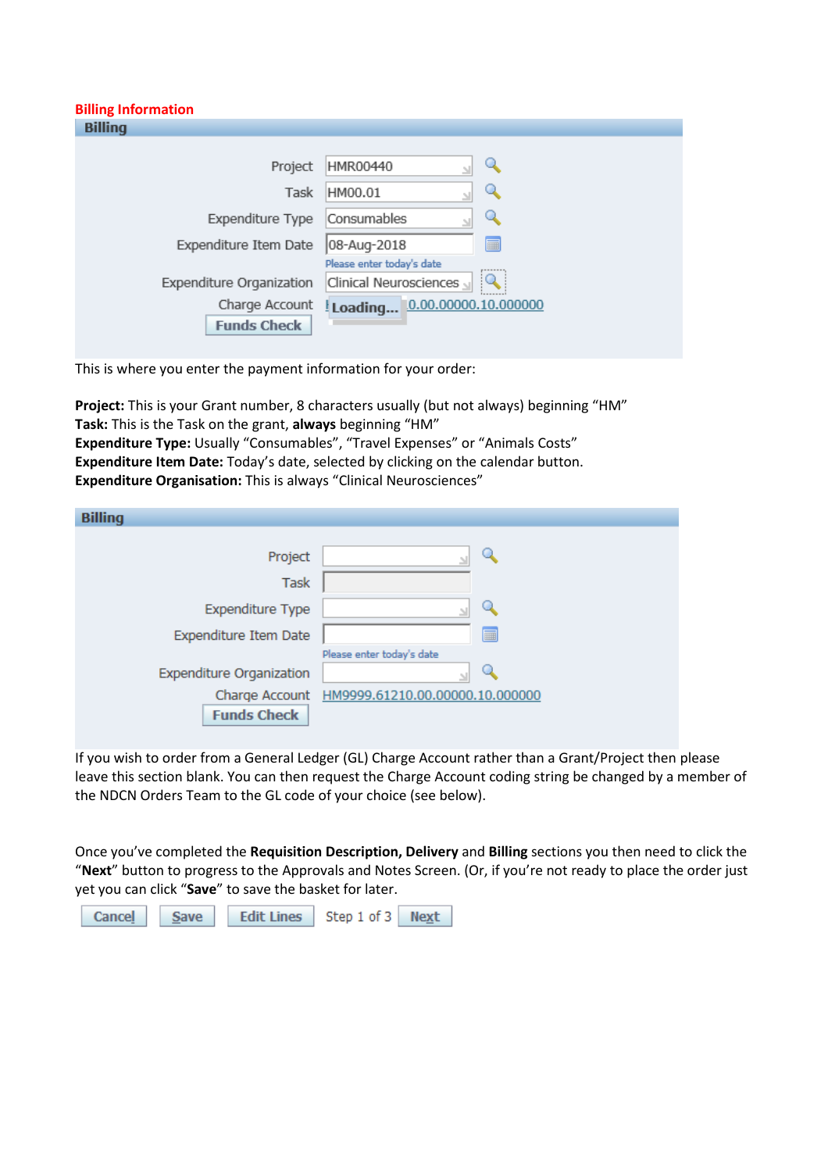| <b>Billing Information</b>           |                                  |
|--------------------------------------|----------------------------------|
| <b>Billing</b>                       |                                  |
|                                      |                                  |
| Project                              | HMR00440                         |
| Task                                 | HM00.01                          |
| Expenditure Type                     | Consumables                      |
| Expenditure Item Date                | 08-Aug-2018<br>■                 |
|                                      | Please enter today's date        |
| Expenditure Organization             | Clinical Neurosciences           |
| Charge Account<br><b>Funds Check</b> | 0.00.000000.10.000000<br>Loading |

This is where you enter the payment information for your order:

**Project:** This is your Grant number, 8 characters usually (but not always) beginning "HM" **Task:** This is the Task on the grant, **always** beginning "HM" **Expenditure Type:** Usually "Consumables", "Travel Expenses" or "Animals Costs" **Expenditure Item Date:** Today's date, selected by clicking on the calendar button. **Expenditure Organisation:** This is always "Clinical Neurosciences"

| <b>Billing</b>                  |                                                |
|---------------------------------|------------------------------------------------|
|                                 |                                                |
| Project                         |                                                |
| <b>Task</b>                     |                                                |
| <b>Expenditure Type</b>         |                                                |
| Expenditure Item Date           | 匾                                              |
|                                 | Please enter today's date                      |
| <b>Expenditure Organization</b> |                                                |
|                                 | Charge Account HM9999.61210.00.00000.10.000000 |
| <b>Funds Check</b>              |                                                |

If you wish to order from a General Ledger (GL) Charge Account rather than a Grant/Project then please leave this section blank. You can then request the Charge Account coding string be changed by a member of the NDCN Orders Team to the GL code of your choice (see below).

Once you've completed the **Requisition Description, Delivery** and **Billing** sections you then need to click the "**Next**" button to progress to the Approvals and Notes Screen. (Or, if you're not ready to place the order just yet you can click "**Save**" to save the basket for later.